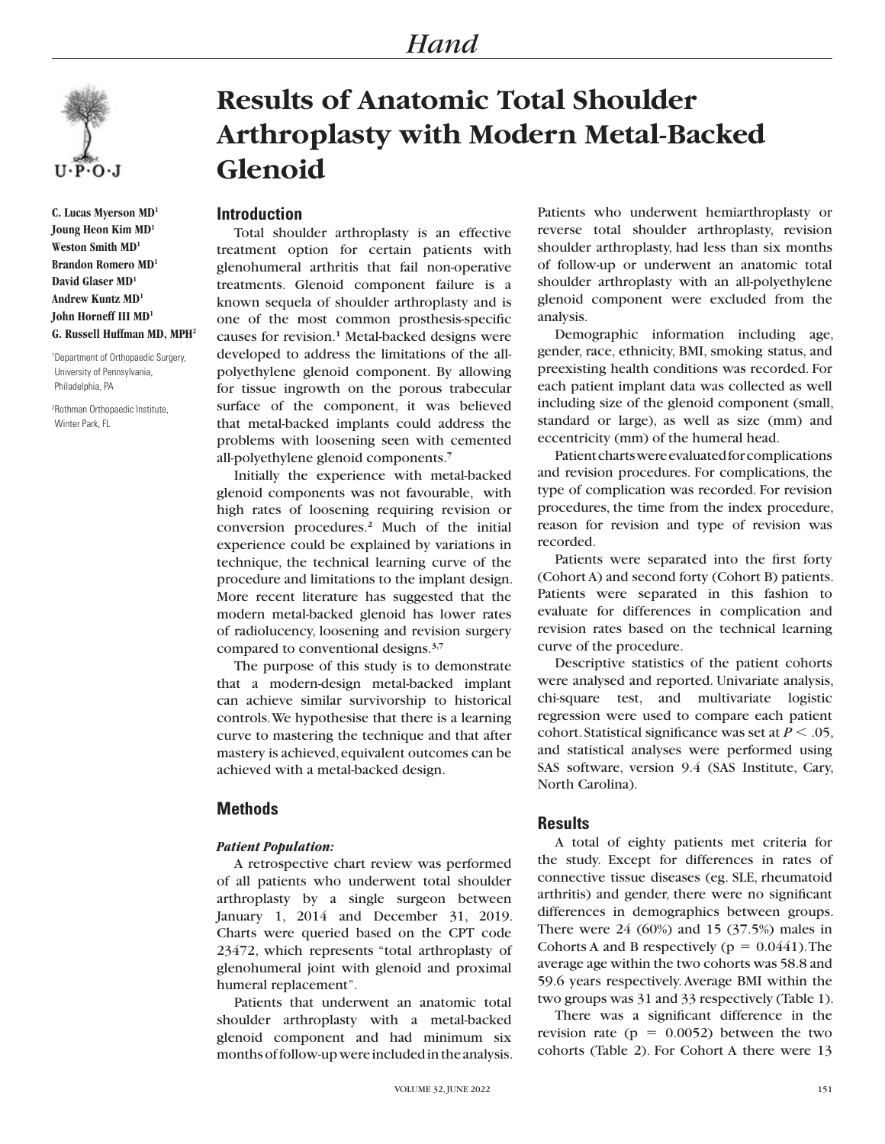

**C. Lucas Myerson MD1 Joung Heon Kim MD1 Weston Smith MD1 Brandon Romero MD1 David Glaser MD1 Andrew Kuntz MD1 John Horneff III MD1 G. Russell Huffman MD, MPH2**

1 Department of Orthopaedic Surgery, University of Pennsylvania, Philadelphia, PA

2 Rothman Orthopaedic Institute, Winter Park, FL

# **Results of Anatomic Total Shoulder Arthroplasty with Modern Metal-Backed Glenoid**

## **Introduction**

Total shoulder arthroplasty is an effective treatment option for certain patients with glenohumeral arthritis that fail non-operative treatments. Glenoid component failure is a known sequela of shoulder arthroplasty and is one of the most common prosthesis-specific causes for revision.**<sup>1</sup>** Metal-backed designs were developed to address the limitations of the allpolyethylene glenoid component. By allowing for tissue ingrowth on the porous trabecular surface of the component, it was believed that metal-backed implants could address the problems with loosening seen with cemented all-polyethylene glenoid components.**<sup>7</sup>**

Initially the experience with metal-backed glenoid components was not favourable, with high rates of loosening requiring revision or conversion procedures.**<sup>2</sup>** Much of the initial experience could be explained by variations in technique, the technical learning curve of the procedure and limitations to the implant design. More recent literature has suggested that the modern metal-backed glenoid has lower rates of radiolucency, loosening and revision surgery compared to conventional designs.**3,7**

The purpose of this study is to demonstrate that a modern-design metal-backed implant can achieve similar survivorship to historical controls. We hypothesise that there is a learning curve to mastering the technique and that after mastery is achieved, equivalent outcomes can be achieved with a metal-backed design.

## **Methods**

#### *Patient Population:*

A retrospective chart review was performed of all patients who underwent total shoulder arthroplasty by a single surgeon between January 1, 2014 and December 31, 2019. Charts were queried based on the CPT code 23472, which represents "total arthroplasty of glenohumeral joint with glenoid and proximal humeral replacement".

Patients that underwent an anatomic total shoulder arthroplasty with a metal-backed glenoid component and had minimum six months of follow-up were included in the analysis.

Patients who underwent hemiarthroplasty or reverse total shoulder arthroplasty, revision shoulder arthroplasty, had less than six months of follow-up or underwent an anatomic total shoulder arthroplasty with an all-polyethylene glenoid component were excluded from the analysis.

Demographic information including age, gender, race, ethnicity, BMI, smoking status, and preexisting health conditions was recorded. For each patient implant data was collected as well including size of the glenoid component (small, standard or large), as well as size (mm) and eccentricity (mm) of the humeral head.

Patient charts were evaluated for complications and revision procedures. For complications, the type of complication was recorded. For revision procedures, the time from the index procedure, reason for revision and type of revision was recorded.

Patients were separated into the first forty (Cohort A) and second forty (Cohort B) patients. Patients were separated in this fashion to evaluate for differences in complication and revision rates based on the technical learning curve of the procedure.

Descriptive statistics of the patient cohorts were analysed and reported. Univariate analysis, chi-square test, and multivariate logistic regression were used to compare each patient cohort. Statistical significance was set at  $P < .05$ , and statistical analyses were performed using SAS software, version 9.4 (SAS Institute, Cary, North Carolina).

#### **Results**

A total of eighty patients met criteria for the study. Except for differences in rates of connective tissue diseases (eg. SLE, rheumatoid arthritis) and gender, there were no significant differences in demographics between groups. There were 24 (60%) and 15 (37.5%) males in Cohorts A and B respectively ( $p = 0.0441$ ). The average age within the two cohorts was 58.8 and 59.6 years respectively. Average BMI within the two groups was 31 and 33 respectively (Table 1).

There was a significant difference in the revision rate ( $p = 0.0052$ ) between the two cohorts (Table 2). For Cohort A there were 13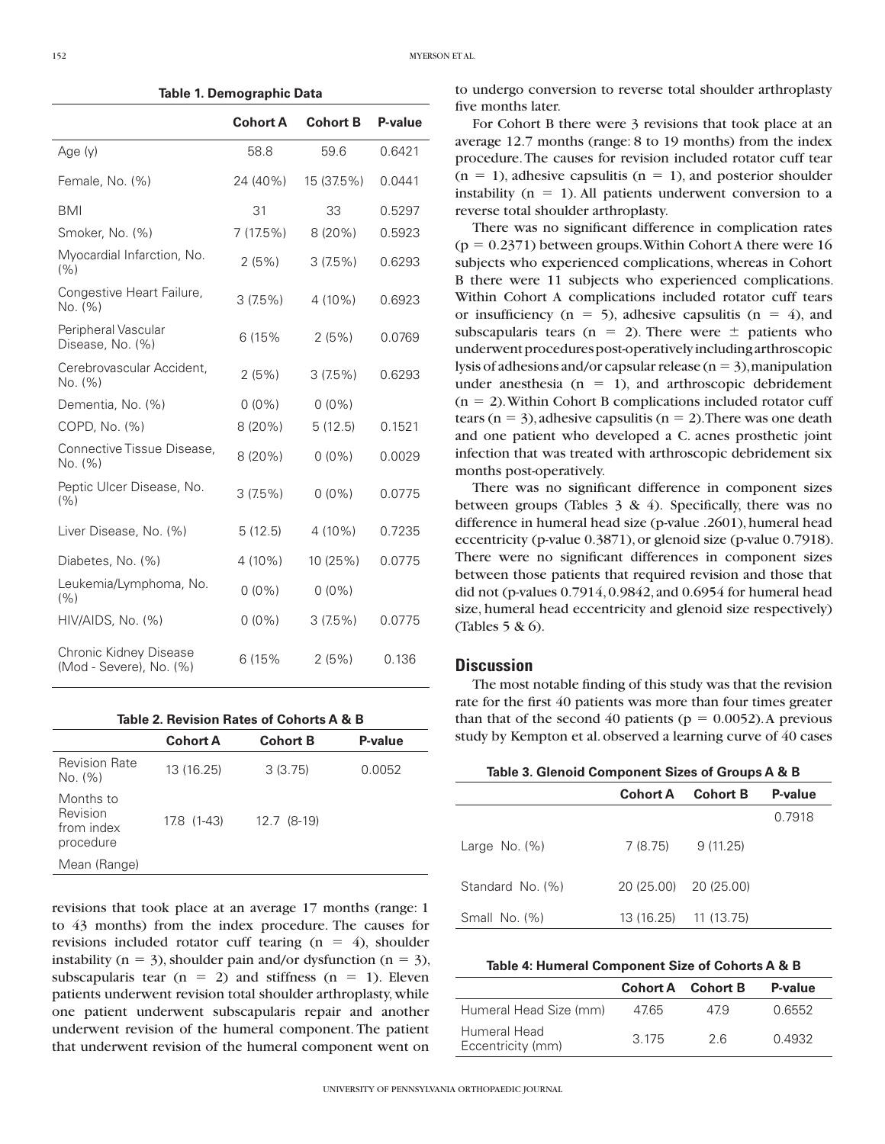152 MYERSON ET AL.

**Table 1. Demographic Data**

|                                                   | <b>Cohort A</b> | <b>Cohort B</b> | P-value |
|---------------------------------------------------|-----------------|-----------------|---------|
| Age (y)                                           | 58.8            | 59.6            | 0.6421  |
| Female, No. (%)                                   | 24 (40%)        | 15 (37.5%)      | 0.0441  |
| <b>BMI</b>                                        | 31              | 33              | 0.5297  |
| Smoker, No. (%)                                   | 7(17.5%)        | 8(20%)          | 0.5923  |
| Myocardial Infarction, No.<br>(%)                 | 2(5%)           | 3(7.5%)         | 0.6293  |
| Congestive Heart Failure,<br>No. (%)              | 3(7.5%)         | 4 (10%)         | 0.6923  |
| Peripheral Vascular<br>Disease, No. (%)           | 6 (15%          | 2(5%)           | 0.0769  |
| Cerebrovascular Accident,<br>No. (%)              | 2(5%)           | 3(7.5%)         | 0.6293  |
| Dementia, No. (%)                                 | $0(0\%)$        | $0(0\%)$        |         |
| COPD, No. (%)                                     | 8(20%)          | 5(12.5)         | 0.1521  |
| Connective Tissue Disease,<br>No. (%)             | 8(20%)          | $0(0\%)$        | 0.0029  |
| Peptic Ulcer Disease, No.<br>(%)                  | 3(7.5%)         | $0(0\%)$        | 0.0775  |
| Liver Disease, No. (%)                            | 5(12.5)         | $4(10\%)$       | 0.7235  |
| Diabetes, No. (%)                                 | 4 (10%)         | 10 (25%)        | 0.0775  |
| Leukemia/Lymphoma, No.<br>(%)                     | $0(0\%)$        | $0(0\%)$        |         |
| HIV/AIDS, No. (%)                                 | $0(0\%)$        | 3(7.5%)         | 0.0775  |
| Chronic Kidney Disease<br>(Mod - Severe), No. (%) | 6 (15%          | 2(5%)           | 0.136   |

|  | Table 2. Revision Rates of Cohorts A & B |  |  |  |  |  |  |
|--|------------------------------------------|--|--|--|--|--|--|
|--|------------------------------------------|--|--|--|--|--|--|

|                                                  | <b>Cohort A</b> | <b>Cohort B</b> | P-value |
|--------------------------------------------------|-----------------|-----------------|---------|
| <b>Revision Rate</b><br>No. (%)                  | 13 (16.25)      | 3(3.75)         | 0.0052  |
| Months to<br>Revision<br>from index<br>procedure | 17.8 (1-43)     | 12.7 (8-19)     |         |
| Mean (Range)                                     |                 |                 |         |

revisions that took place at an average 17 months (range: 1 to 43 months) from the index procedure. The causes for revisions included rotator cuff tearing  $(n = 4)$ , shoulder instability ( $n = 3$ ), shoulder pain and/or dysfunction ( $n = 3$ ), subscapularis tear ( $n = 2$ ) and stiffness ( $n = 1$ ). Eleven patients underwent revision total shoulder arthroplasty, while one patient underwent subscapularis repair and another underwent revision of the humeral component. The patient that underwent revision of the humeral component went on

to undergo conversion to reverse total shoulder arthroplasty five months later.

For Cohort B there were 3 revisions that took place at an average 12.7 months (range: 8 to 19 months) from the index procedure. The causes for revision included rotator cuff tear  $(n = 1)$ , adhesive capsulitis  $(n = 1)$ , and posterior shoulder instability ( $n = 1$ ). All patients underwent conversion to a reverse total shoulder arthroplasty.

There was no significant difference in complication rates  $(p = 0.2371)$  between groups. Within Cohort A there were 16 subjects who experienced complications, whereas in Cohort B there were 11 subjects who experienced complications. Within Cohort A complications included rotator cuff tears or insufficiency ( $n = 5$ ), adhesive capsulitis ( $n = 4$ ), and subscapularis tears (n = 2). There were  $\pm$  patients who underwent procedures post-operatively including arthroscopic lysis of adhesions and/or capsular release ( $n = 3$ ), manipulation under anesthesia  $(n = 1)$ , and arthroscopic debridement  $(n = 2)$ . Within Cohort B complications included rotator cuff tears ( $n = 3$ ), adhesive capsulitis ( $n = 2$ ). There was one death and one patient who developed a C. acnes prosthetic joint infection that was treated with arthroscopic debridement six months post-operatively.

There was no significant difference in component sizes between groups (Tables  $3 \& 4$ ). Specifically, there was no difference in humeral head size (p-value .2601), humeral head eccentricity (p-value 0.3871), or glenoid size (p-value 0.7918). There were no significant differences in component sizes between those patients that required revision and those that did not (p-values 0.7914, 0.9842, and 0.6954 for humeral head size, humeral head eccentricity and glenoid size respectively) (Tables 5 & 6).

### **Discussion**

The most notable finding of this study was that the revision rate for the first 40 patients was more than four times greater than that of the second 40 patients ( $p = 0.0052$ ). A previous study by Kempton et al. observed a learning curve of 40 cases

|                  | Cohort A              | <b>Cohort B</b> | P-value |
|------------------|-----------------------|-----------------|---------|
|                  |                       |                 | 0.7918  |
| Large No. $(\%)$ | 7 (8.75)              | 9(11.25)        |         |
| Standard No. (%) | 20 (25.00) 20 (25.00) |                 |         |
| Small No. $(\%)$ | 13 (16.25) 11 (13.75) |                 |         |

| Table 4: Humeral Component Size of Cohorts A & B |  |  |  |
|--------------------------------------------------|--|--|--|
|--------------------------------------------------|--|--|--|

|                                   |       | Cohort A Cohort B | P-value |
|-----------------------------------|-------|-------------------|---------|
| Humeral Head Size (mm)            | 4765  | 479               | 0.6552  |
| Humeral Head<br>Eccentricity (mm) | 3.175 | 26                | 0.4932  |